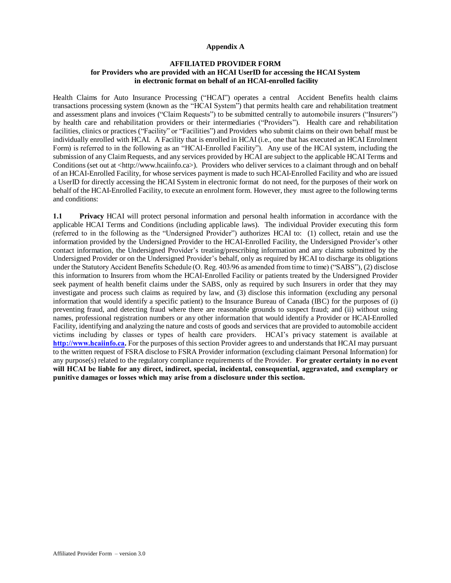## **Appendix A**

## **AFFILIATED PROVIDER FORM for Providers who are provided with an HCAI UserID for accessing the HCAI System in electronic format on behalf of an HCAI-enrolled facility**

Health Claims for Auto Insurance Processing ("HCAI") operates a central Accident Benefits health claims transactions processing system (known as the "HCAI System") that permits health care and rehabilitation treatment and assessment plans and invoices ("Claim Requests") to be submitted centrally to automobile insurers ("Insurers") by health care and rehabilitation providers or their intermediaries ("Providers"). Health care and rehabilitation facilities, clinics or practices ("Facility" or "Facilities") and Providers who submit claims on their own behalf must be individually enrolled with HCAI. A Facility that is enrolled in HCAI (i.e., one that has executed an HCAI Enrolment Form) is referred to in the following as an "HCAI-Enrolled Facility"). Any use of the HCAI system, including the submission of any Claim Requests, and any services provided by HCAI are subject to the applicable HCAI Terms and Conditions (set out at <http://www.hcaiinfo.ca>). Providers who deliver services to a claimant through and on behalf of an HCAI-Enrolled Facility, for whose services payment is made to such HCAI-Enrolled Facility and who are issued a UserID for directly accessing the HCAI System in electronic format do not need, for the purposes of their work on behalf of the HCAI-Enrolled Facility, to execute an enrolment form. However, they must agree to the following terms and conditions:

**1.1 Privacy** HCAI will protect personal information and personal health information in accordance with the applicable HCAI Terms and Conditions (including applicable laws). The individual Provider executing this form (referred to in the following as the "Undersigned Provider") authorizes HCAI to: (1) collect, retain and use the information provided by the Undersigned Provider to the HCAI-Enrolled Facility, the Undersigned Provider's other contact information, the Undersigned Provider's treating/prescribing information and any claims submitted by the Undersigned Provider or on the Undersigned Provider's behalf, only as required by HCAI to discharge its obligations under the Statutory Accident Benefits Schedule (O. Reg. 403/96 as amended from time to time) ("SABS"), (2) disclose this information to Insurers from whom the HCAI-Enrolled Facility or patients treated by the Undersigned Provider seek payment of health benefit claims under the SABS, only as required by such Insurers in order that they may investigate and process such claims as required by law, and (3) disclose this information (excluding any personal information that would identify a specific patient) to the Insurance Bureau of Canada (IBC) for the purposes of (i) preventing fraud, and detecting fraud where there are reasonable grounds to suspect fraud; and (ii) without using names, professional registration numbers or any other information that would identify a Provider or HCAI-Enrolled Facility, identifying and analyzing the nature and costs of goods and services that are provided to automobile accident victims including by classes or types of health care providers. HCAI's privacy statement is available at **[http://www.hcaiinfo.ca.](http://www.hcaiinfo.ca/)** For the purposes of this section Provider agrees to and understands that HCAI may pursuant to the written request of FSRA disclose to FSRA Provider information (excluding claimant Personal Information) for any purpose(s) related to the regulatory compliance requirements of the Provider. **For greater certainty in no event will HCAI be liable for any direct, indirect, special, incidental, consequential, aggravated, and exemplary or punitive damages or losses which may arise from a disclosure under this section.**